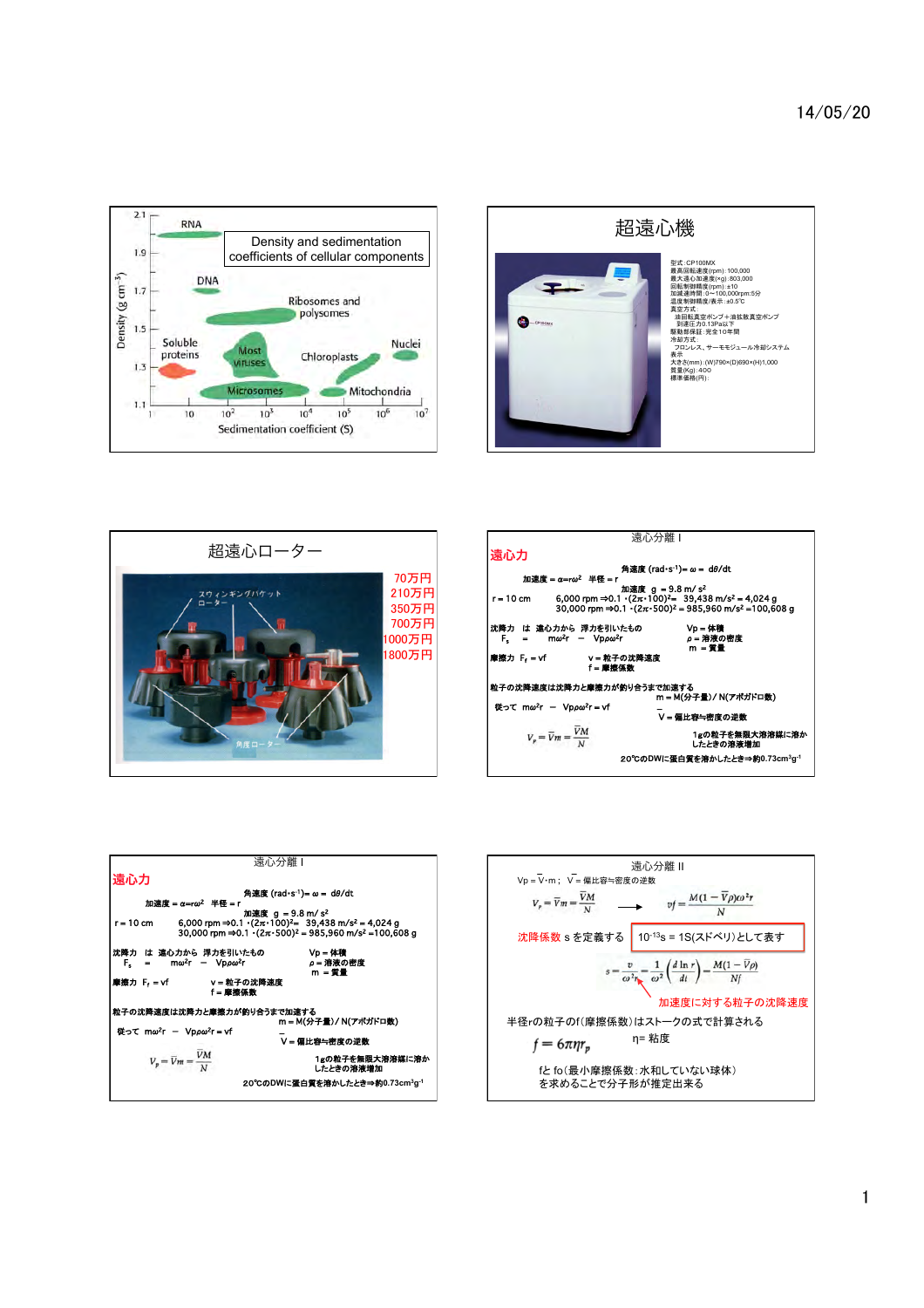









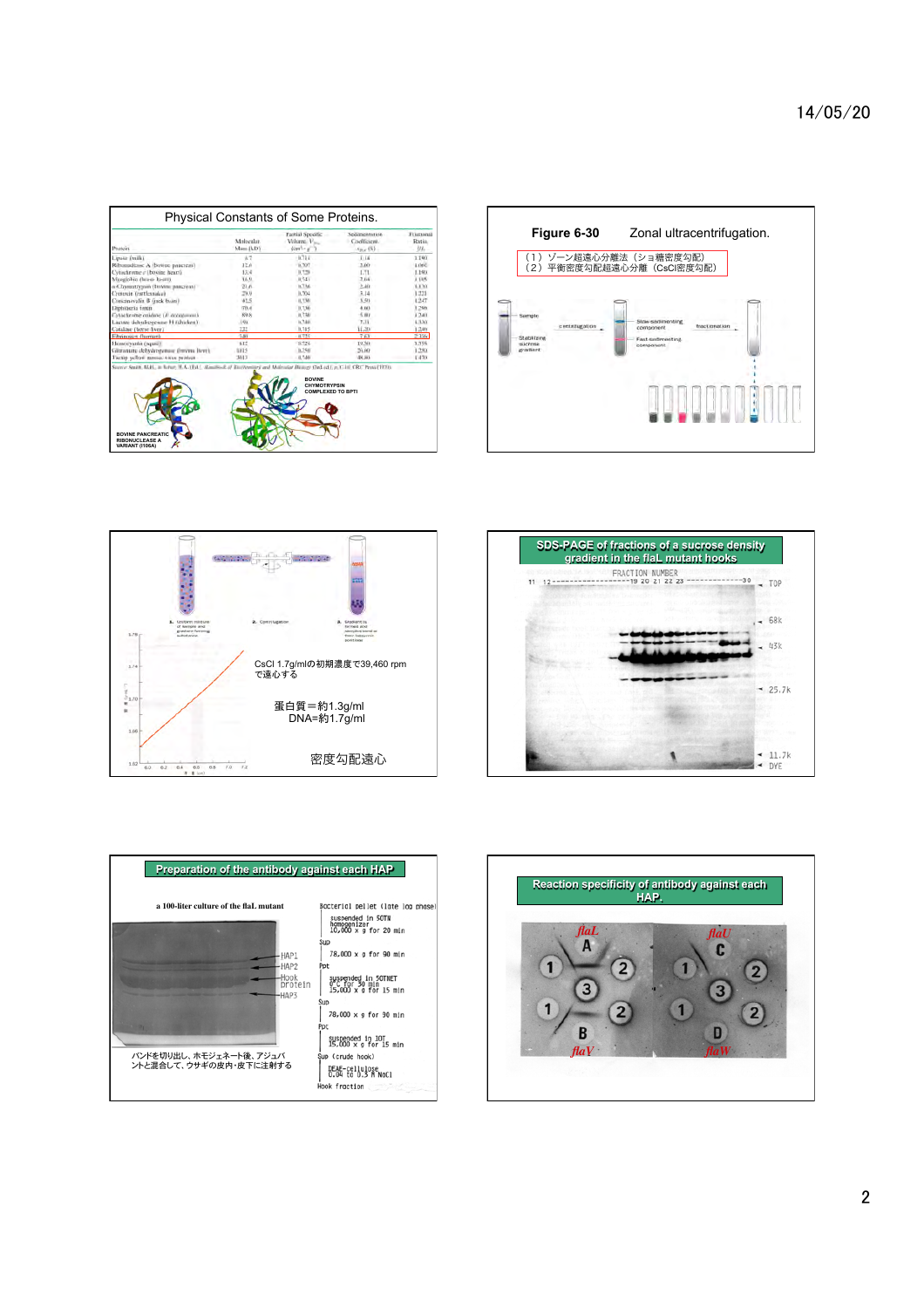| <b>Protein</b>                                   | Mulecular<br>Mans (KD) | Partial Specific<br>Volume <sub>V</sub> <sub>1</sub><br>$\{cm\}$ - $\equiv$ $\gamma$ | Sedamentation<br>Coefficient.<br>$x_{\text{Hav}}$ (5). | Frienonal<br>Ratia.<br>H1. |
|--------------------------------------------------|------------------------|--------------------------------------------------------------------------------------|--------------------------------------------------------|----------------------------|
| Lipase (milk)                                    | 87                     | 0.714                                                                                | 114.                                                   | 1.190                      |
| Ribonschase A (bovine paneress)                  | 12h                    | 0.707                                                                                | 3.00                                                   | 1,066                      |
| Cytochrome e (boying heart).                     | 13.4                   | 0.128                                                                                | 1.73                                                   | 1.198                      |
| Minglobia (horse hi-arr)                         | 36.9                   | (1.74)                                                                               | 2.04                                                   | 1.1U5                      |
| a-Chysotrypan (buyina paicreas)                  | 21.6                   | 0.736                                                                                | 2.40                                                   | 1.130                      |
| Crotoxin Garthanake)                             | 29.9                   | 0.704                                                                                | 3.14                                                   | 1.725                      |
| Concannatin B (inck buin)                        | 42.5                   | <b>U.T.WE</b>                                                                        | $5 - 51$                                               | 1247                       |
| Daphiberia toxin-                                | 70.4                   | 0.756                                                                                | 4.041                                                  | 1.296                      |
| <b>Cytochrome</b> oxidays ( <i>P. accommuni-</i> | 89.8                   | 0.730                                                                                | 5.001                                                  | 1.240                      |
| Lactate debudrogenise H (chicken)                | 1.01                   | 0.740.                                                                               | 7.31                                                   | 4.330                      |
| Catalase (horse liver).                          | 222                    | 0.715                                                                                | 11.20                                                  | $1 - 344$                  |
| Eibrinosics (homan)                              | $3-81$                 | 11.725                                                                               | 763                                                    | 2,3360                     |
| Hemocyania (squart)                              | 612                    | 15/724                                                                               | 19.50.                                                 | 1.356                      |
| Gintanuae debydrogenaar (boyun liver).           | 1015                   | 0.750                                                                                | 26.60                                                  | 1.7%                       |
| Turnin vellow messac visus projects              | 3013                   | (1.740)                                                                              | 48,803                                                 | D470                       |
|                                                  |                        | <b>ROVINE</b><br><b>CHYMOTRYPSIN</b><br><b>COMPLEXED TO BPTI</b>                     |                                                        |                            |